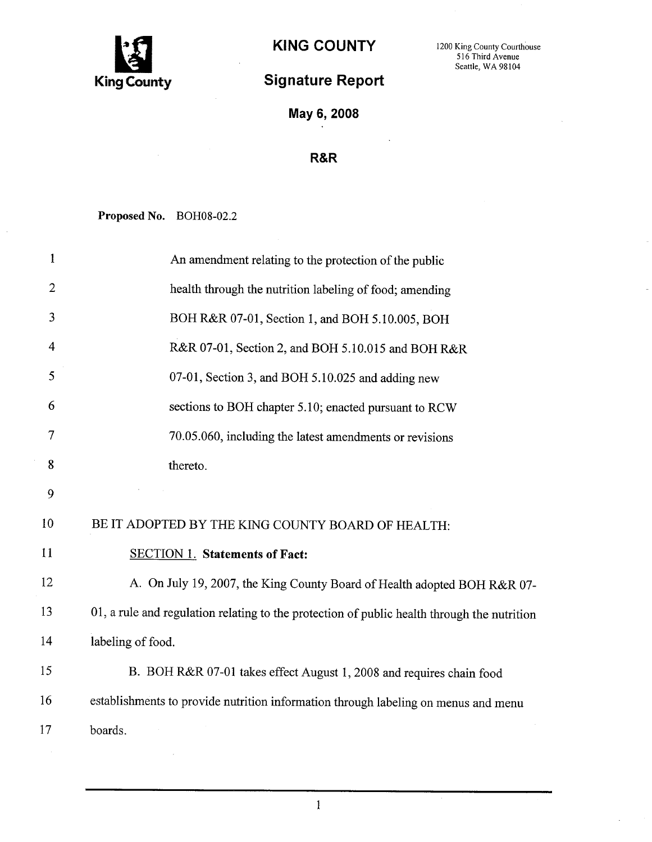

## KING COUNTY 1200 King County Courthouse

## Signature Report

Seattle, WA 98104

May 6, 2008

## R&R

Proposed No. BOH08-02.2

| 1              | An amendment relating to the protection of the public                                       |
|----------------|---------------------------------------------------------------------------------------------|
| $\mathbf{2}$   | health through the nutrition labeling of food; amending                                     |
| 3              | BOH R&R 07-01, Section 1, and BOH 5.10.005, BOH                                             |
| $\overline{4}$ | R&R 07-01, Section 2, and BOH 5.10.015 and BOH R&R                                          |
| 5              | 07-01, Section 3, and BOH 5.10.025 and adding new                                           |
| 6              | sections to BOH chapter 5.10; enacted pursuant to RCW                                       |
| 7              | 70.05.060, including the latest amendments or revisions                                     |
| 8              | thereto.                                                                                    |
| 9              |                                                                                             |
| 10             | BE IT ADOPTED BY THE KING COUNTY BOARD OF HEALTH:                                           |
| 11             | <b>SECTION 1. Statements of Fact:</b>                                                       |
| 12             | A. On July 19, 2007, the King County Board of Health adopted BOH R&R 07-                    |
| 13             | 01, a rule and regulation relating to the protection of public health through the nutrition |
| 14             | labeling of food.                                                                           |
| 15             | B. BOH R&R 07-01 takes effect August 1, 2008 and requires chain food                        |
| 16             | establishments to provide nutrition information through labeling on menus and menu          |
| 17             | boards.                                                                                     |

 $\mathbf{1}$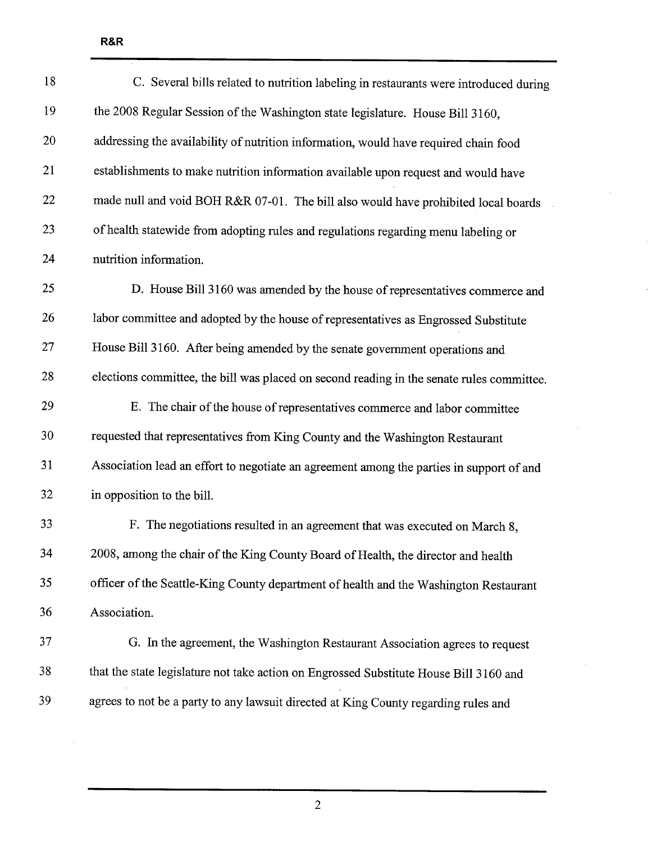| 18 | C. Several bills related to nutrition labeling in restaurants were introduced during      |
|----|-------------------------------------------------------------------------------------------|
| 19 | the 2008 Regular Session of the Washington state legislature. House Bill 3160,            |
| 20 | addressing the availability of nutrition information, would have required chain food      |
| 21 | establishments to make nutrition information available upon request and would have        |
| 22 | made null and void BOH R&R 07-01. The bill also would have prohibited local boards        |
| 23 | of health statewide from adopting rules and regulations regarding menu labeling or        |
| 24 | nutrition information.                                                                    |
| 25 | D. House Bill 3160 was amended by the house of representatives commerce and               |
| 26 | labor committee and adopted by the house of representatives as Engrossed Substitute       |
| 27 | House Bill 3160. After being amended by the senate government operations and              |
| 28 | elections committee, the bill was placed on second reading in the senate rules committee. |
| 29 | E. The chair of the house of representatives commerce and labor committee                 |
| 30 | requested that representatives from King County and the Washington Restaurant             |
| 31 | Association lead an effort to negotiate an agreement among the parties in support of and  |
| 32 | in opposition to the bill.                                                                |
| 33 | F. The negotiations resulted in an agreement that was executed on March 8,                |
| 34 | 2008, among the chair of the King County Board of Health, the director and health         |
| 35 | officer of the Seattle-King County department of health and the Washington Restaurant     |
| 36 | Association.                                                                              |
| 37 | G. In the agreement, the Washington Restaurant Association agrees to request              |
| 38 | that the state legislature not take action on Engrossed Substitute House Bill 3160 and    |
| 39 | agrees to not be a party to any lawsuit directed at King County regarding rules and       |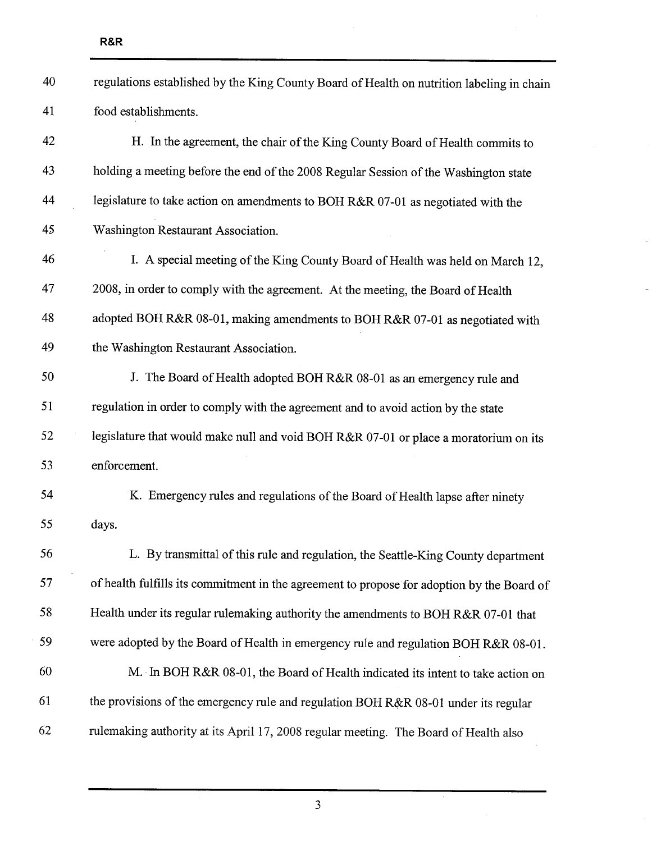| 40 | regulations established by the King County Board of Health on nutrition labeling in chain  |
|----|--------------------------------------------------------------------------------------------|
| 41 | food establishments.                                                                       |
| 42 | H. In the agreement, the chair of the King County Board of Health commits to               |
| 43 | holding a meeting before the end of the 2008 Regular Session of the Washington state       |
| 44 | legislature to take action on amendments to BOH R&R 07-01 as negotiated with the           |
| 45 | Washington Restaurant Association.                                                         |
| 46 | I. A special meeting of the King County Board of Health was held on March 12,              |
| 47 | 2008, in order to comply with the agreement. At the meeting, the Board of Health           |
| 48 | adopted BOH R&R 08-01, making amendments to BOH R&R 07-01 as negotiated with               |
| 49 | the Washington Restaurant Association.                                                     |
| 50 | J. The Board of Health adopted BOH R&R 08-01 as an emergency rule and                      |
| 51 | regulation in order to comply with the agreement and to avoid action by the state          |
| 52 | legislature that would make null and void BOH R&R 07-01 or place a moratorium on its       |
| 53 | enforcement.                                                                               |
| 54 | K. Emergency rules and regulations of the Board of Health lapse after ninety               |
| 55 | days.                                                                                      |
| 56 | L. By transmittal of this rule and regulation, the Seattle-King County department          |
| 57 | of health fulfills its commitment in the agreement to propose for adoption by the Board of |
| 58 | Health under its regular rulemaking authority the amendments to BOH R&R 07-01 that         |
| 59 | were adopted by the Board of Health in emergency rule and regulation BOH R&R 08-01.        |
| 60 | M. In BOH R&R 08-01, the Board of Health indicated its intent to take action on            |
| 61 | the provisions of the emergency rule and regulation BOH R&R 08-01 under its regular        |
| 62 | rulemaking authority at its April 17, 2008 regular meeting. The Board of Health also       |
|    |                                                                                            |

 $\overline{a}$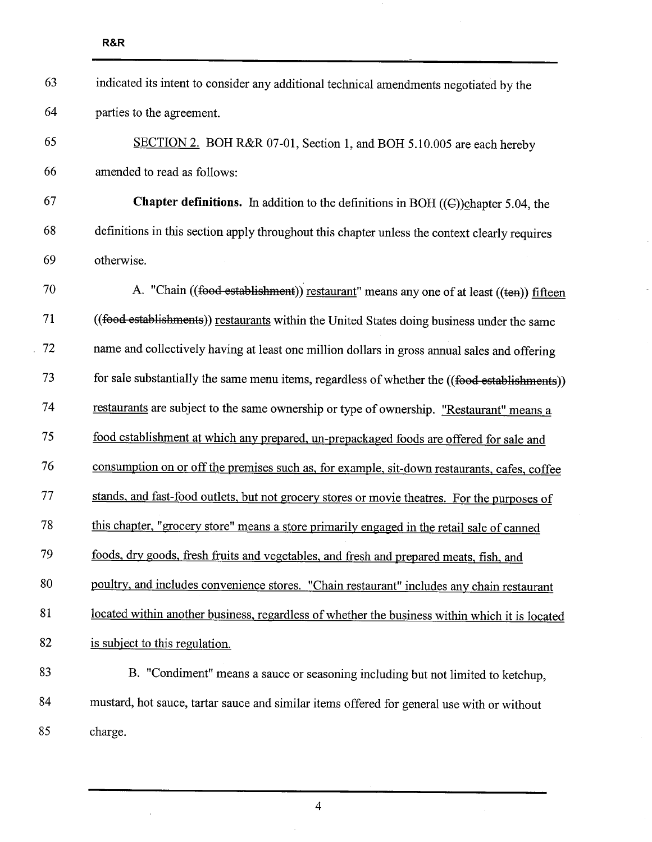$\cdot$ 

| 63 | indicated its intent to consider any additional technical amendments negotiated by the             |
|----|----------------------------------------------------------------------------------------------------|
| 64 | parties to the agreement.                                                                          |
| 65 | SECTION 2. BOH R&R 07-01, Section 1, and BOH 5.10.005 are each hereby                              |
| 66 | amended to read as follows:                                                                        |
| 67 | <b>Chapter definitions.</b> In addition to the definitions in BOH $((\text{C}))$ chapter 5.04, the |
| 68 | definitions in this section apply throughout this chapter unless the context clearly requires      |
| 69 | otherwise.                                                                                         |
| 70 | A. "Chain ((food establishment)) restaurant" means any one of at least ((ten)) fifteen             |
| 71 | ((food establishments)) restaurants within the United States doing business under the same         |
| 72 | name and collectively having at least one million dollars in gross annual sales and offering       |
| 73 | for sale substantially the same menu items, regardless of whether the ((food establishments))      |
| 74 | restaurants are subject to the same ownership or type of ownership. "Restaurant" means a           |
| 75 | food establishment at which any prepared, un-prepackaged foods are offered for sale and            |
| 76 | consumption on or off the premises such as, for example, sit-down restaurants, cafes, coffee       |
| 77 | stands, and fast-food outlets, but not grocery stores or movie theatres. For the purposes of       |
| 78 | this chapter, "grocery store" means a store primarily engaged in the retail sale of canned         |
| 79 | foods, dry goods, fresh fruits and vegetables, and fresh and prepared meats, fish, and             |
| 80 | poultry, and includes convenience stores. "Chain restaurant" includes any chain restaurant         |
| 81 | located within another business, regardless of whether the business within which it is located     |
| 82 | is subject to this regulation.                                                                     |
| 83 | B. "Condiment" means a sauce or seasoning including but not limited to ketchup,                    |
| 84 | mustard, hot sauce, tartar sauce and similar items offered for general use with or without         |
| 85 | charge.                                                                                            |

4

 $\sim$   $\sim$ 

 $\sim$   $\epsilon$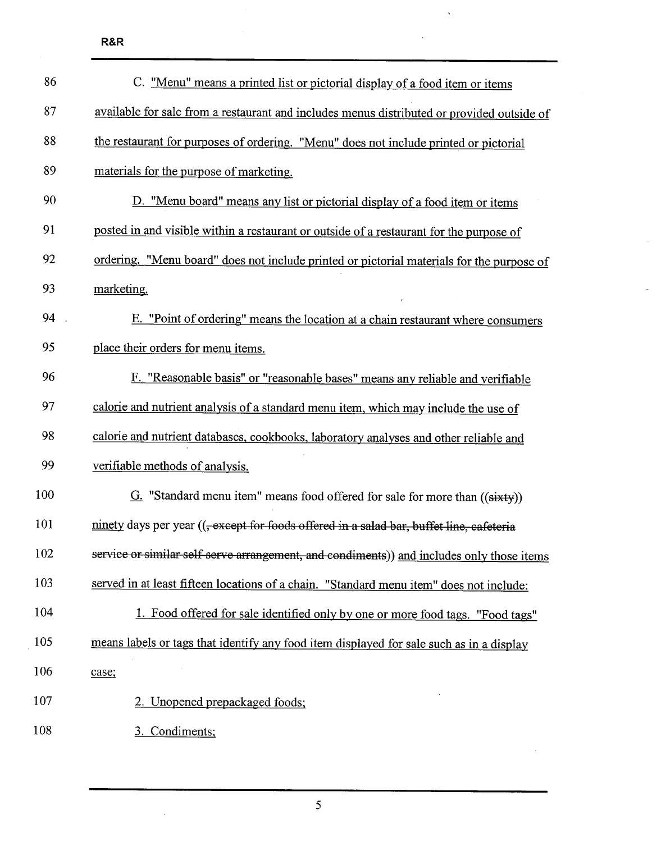$\bar{z}$ 

| 86  | C. "Menu" means a printed list or pictorial display of a food item or items                          |
|-----|------------------------------------------------------------------------------------------------------|
| 87  | available for sale from a restaurant and includes menus distributed or provided outside of           |
| 88  | the restaurant for purposes of ordering. "Menu" does not include printed or pictorial                |
| 89  | materials for the purpose of marketing.                                                              |
| 90  | D. "Menu board" means any list or pictorial display of a food item or items                          |
| 91  | posted in and visible within a restaurant or outside of a restaurant for the purpose of              |
| 92  | ordering. "Menu board" does not include printed or pictorial materials for the purpose of            |
| 93  | marketing.                                                                                           |
| 94  | E. "Point of ordering" means the location at a chain restaurant where consumers                      |
| 95  | place their orders for menu items.                                                                   |
| 96  | F. "Reasonable basis" or "reasonable bases" means any reliable and verifiable                        |
| 97  | calorie and nutrient analysis of a standard menu item, which may include the use of                  |
| 98  | calorie and nutrient databases, cookbooks, laboratory analyses and other reliable and                |
| 99  | verifiable methods of analysis.                                                                      |
| 100 | $G$ . "Standard menu item" means food offered for sale for more than $((sixty))$                     |
| 101 | ninety days per year (( <del>, except for foods offered in a salad bar, buffet line, cafeteria</del> |
| 102 | service or similar self-serve arrangement, and condiments)) and includes only those items            |
| 103 | served in at least fifteen locations of a chain. "Standard menu item" does not include:              |
| 104 | Food offered for sale identified only by one or more food tags. "Food tags"                          |
| 105 | means labels or tags that identify any food item displayed for sale such as in a display             |
| 106 | case;                                                                                                |
| 107 | 2. Unopened prepackaged foods;                                                                       |
| 108 | 3. Condiments;                                                                                       |
|     |                                                                                                      |

 $\bar{\mathbf{v}}$ 

5

 $\mathcal{A}^{\mathcal{A}}$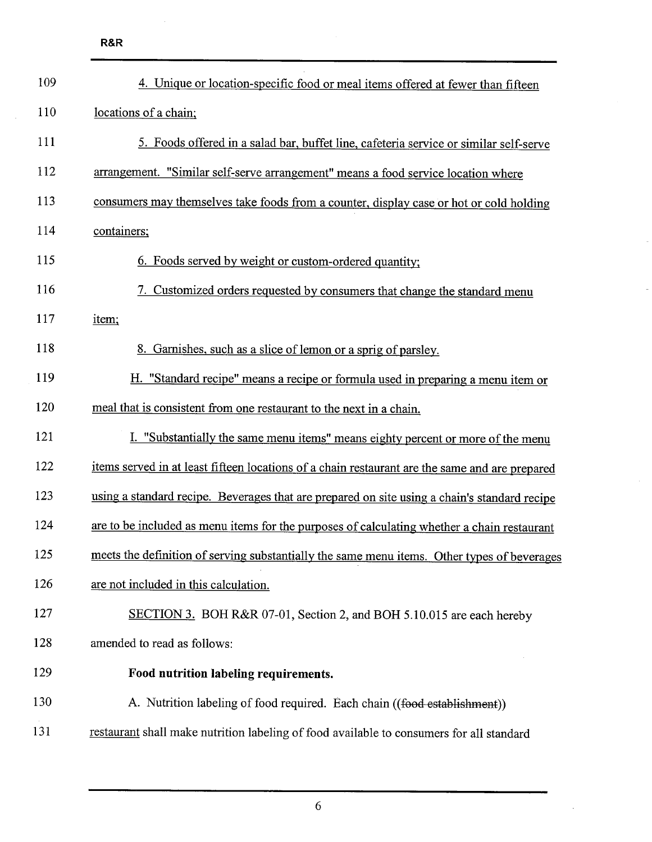| 109        | 4. Unique or location-specific food or meal items offered at fewer than fifteen                |
|------------|------------------------------------------------------------------------------------------------|
| <b>110</b> | locations of a chain;                                                                          |
| 111        | 5. Foods offered in a salad bar, buffet line, cafeteria service or similar self-serve          |
| 112        | arrangement. "Similar self-serve arrangement" means a food service location where              |
| 113        | consumers may themselves take foods from a counter, display case or hot or cold holding        |
| 114        | containers;                                                                                    |
| 115        | 6. Foods served by weight or custom-ordered quantity;                                          |
| 116        | 7. Customized orders requested by consumers that change the standard menu                      |
| 117        | item;                                                                                          |
| 118        | 8. Garnishes, such as a slice of lemon or a sprig of parsley.                                  |
| 119        | H. "Standard recipe" means a recipe or formula used in preparing a menu item or                |
| 120        | meal that is consistent from one restaurant to the next in a chain.                            |
| 121        | I. "Substantially the same menu items" means eighty percent or more of the menu                |
| 122        | items served in at least fifteen locations of a chain restaurant are the same and are prepared |
| 123        | using a standard recipe. Beverages that are prepared on site using a chain's standard recipe   |
| 124        | are to be included as menu items for the purposes of calculating whether a chain restaurant    |
| 125        | meets the definition of serving substantially the same menu items. Other types of beverages    |
| 126        | are not included in this calculation.                                                          |
| 127        | SECTION 3. BOH R&R 07-01, Section 2, and BOH 5.10.015 are each hereby                          |
| 128        | amended to read as follows:                                                                    |
| 129        | Food nutrition labeling requirements.                                                          |
| 130        | A. Nutrition labeling of food required. Each chain ((food establishment))                      |
| 131        | restaurant shall make nutrition labeling of food available to consumers for all standard       |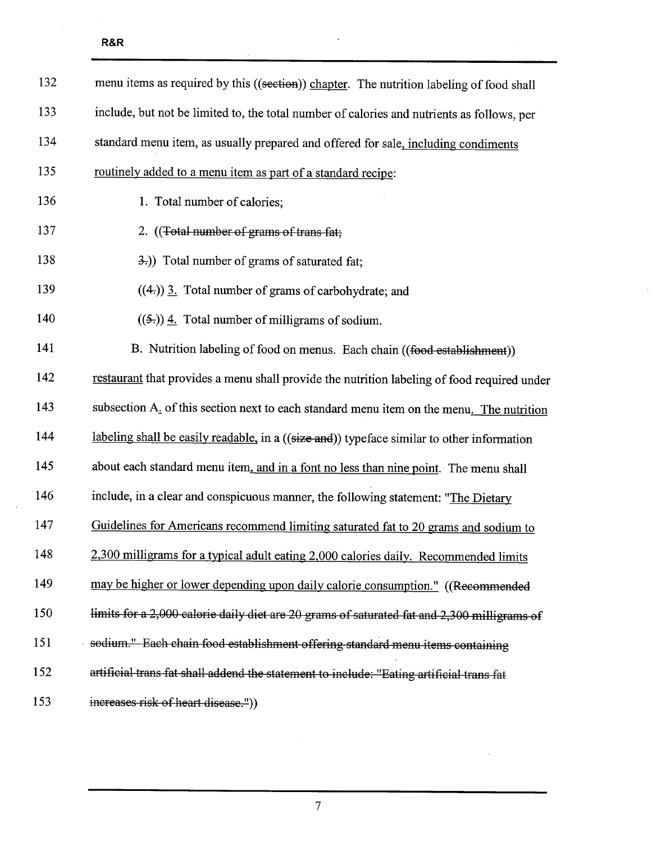$\bar{z}$ 

| 132 | menu items as required by this ((section)) chapter. The nutrition labeling of food shall    |
|-----|---------------------------------------------------------------------------------------------|
| 133 | include, but not be limited to, the total number of calories and nutrients as follows, per  |
| 134 | standard menu item, as usually prepared and offered for sale, including condiments          |
| 135 | routinely added to a menu item as part of a standard recipe:                                |
| 136 | 1. Total number of calories;                                                                |
| 137 | 2. ((Total number of grams of trans fat;                                                    |
| 138 | 3.)) Total number of grams of saturated fat;                                                |
| 139 | $((4))$ 3. Total number of grams of carbohydrate; and                                       |
| 140 | $((5))$ 4. Total number of milligrams of sodium.                                            |
| 141 | B. Nutrition labeling of food on menus. Each chain ((food establishment))                   |
| 142 | restaurant that provides a menu shall provide the nutrition labeling of food required under |
| 143 | subsection A. of this section next to each standard menu item on the menu. The nutrition    |
| 144 | labeling shall be easily readable, in a ((size and)) typeface similar to other information  |
| 145 | about each standard menu item, and in a font no less than nine point. The menu shall        |
| 146 | include, in a clear and conspicuous manner, the following statement: "The Dietary           |
| 147 | Guidelines for Americans recommend limiting saturated fat to 20 grams and sodium to         |
| 148 | 2,300 milligrams for a typical adult eating 2,000 calories daily. Recommended limits        |
| 149 | may be higher or lower depending upon daily calorie consumption." ((Recommended             |
| 150 | limits for a 2,000 calorie daily diet are 20 grams of saturated fat and 2,300 milligrams of |
| 151 | sodium." Each chain food establishment offering standard menu items containing              |
| 152 | artificial trans fat shall addend the statement to include: "Eating artificial trans fat    |
| 153 | increases risk of heart disease."))                                                         |

 $\overline{a}$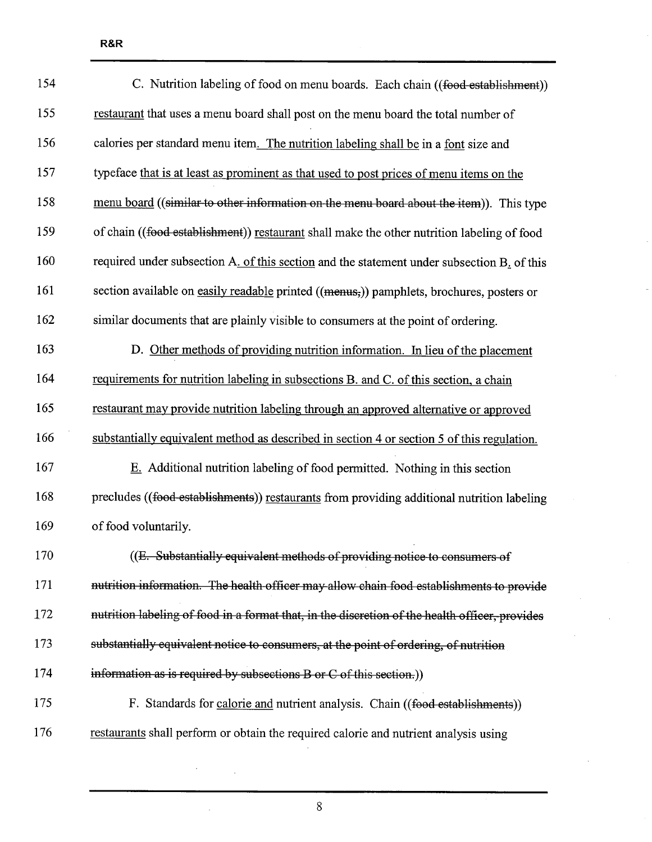| 154 | C. Nutrition labeling of food on menu boards. Each chain ((food establishment))                |
|-----|------------------------------------------------------------------------------------------------|
| 155 | restaurant that uses a menu board shall post on the menu board the total number of             |
| 156 | calories per standard menu item. The nutrition labeling shall be in a font size and            |
| 157 | typeface that is at least as prominent as that used to post prices of menu items on the        |
| 158 | menu board ((similar to other information on the menu board about the item)). This type        |
| 159 | of chain ((food establishment)) restaurant shall make the other nutrition labeling of food     |
| 160 | required under subsection A. of this section and the statement under subsection B. of this     |
| 161 | section available on easily readable printed ((menus,)) pamphlets, brochures, posters or       |
| 162 | similar documents that are plainly visible to consumers at the point of ordering.              |
| 163 | D. Other methods of providing nutrition information. In lieu of the placement                  |
| 164 | requirements for nutrition labeling in subsections B. and C. of this section, a chain          |
| 165 | restaurant may provide nutrition labeling through an approved alternative or approved          |
| 166 | substantially equivalent method as described in section 4 or section 5 of this regulation.     |
| 167 | E. Additional nutrition labeling of food permitted. Nothing in this section                    |
| 168 | precludes ((food establishments)) restaurants from providing additional nutrition labeling     |
| 169 | of food voluntarily.                                                                           |
| 170 | ((E. Substantially equivalent methods of providing notice to consumers of                      |
| 171 | nutrition information. The health officer may allow chain food establishments to provide       |
| 172 | nutrition labeling of food in a format that, in the discretion of the health officer, provides |
| 173 | substantially equivalent notice to consumers, at the point of ordering, of nutrition           |
| 174 | information as is required by subsections B or C of this section.)                             |
| 175 | F. Standards for calorie and nutrient analysis. Chain ((food establishments))                  |
| 176 | restaurants shall perform or obtain the required calorie and nutrient analysis using           |

 $\bar{z}$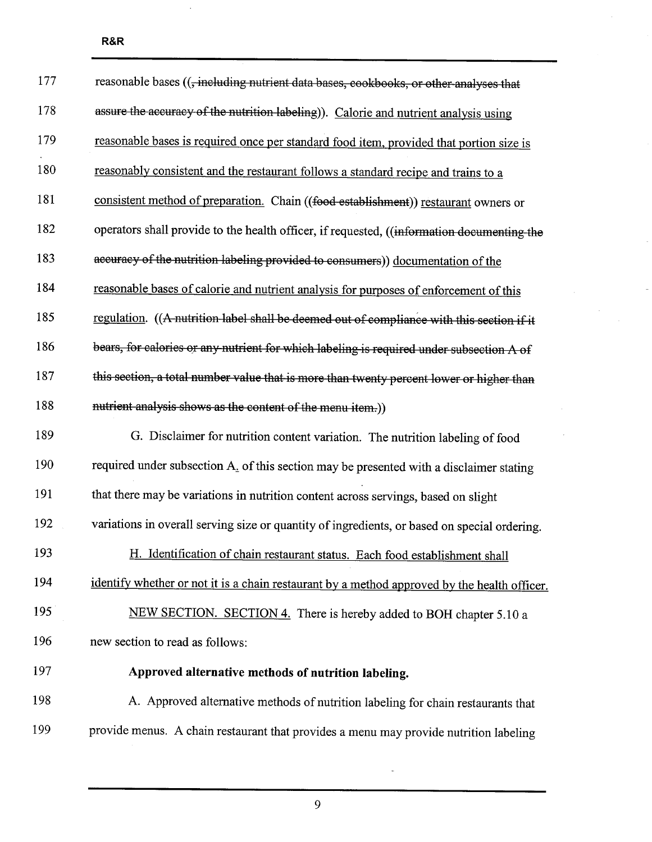$\ddot{\phantom{0}}$ 

| 177 | reasonable bases ((, including nutrient data bases, cookbooks, or other analyses that        |
|-----|----------------------------------------------------------------------------------------------|
| 178 | assure the accuracy of the nutrition labeling)). Calorie and nutrient analysis using         |
| 179 | reasonable bases is required once per standard food item, provided that portion size is      |
| 180 | reasonably consistent and the restaurant follows a standard recipe and trains to a           |
| 181 | consistent method of preparation. Chain ((food establishment)) restaurant owners or          |
| 182 | operators shall provide to the health officer, if requested, ((information documenting the   |
| 183 | accuracy of the nutrition labeling provided to consumers)) documentation of the              |
| 184 | reasonable bases of calorie and nutrient analysis for purposes of enforcement of this        |
| 185 | regulation. ((A-nutrition label shall be deemed out of compliance with this section if it    |
| 186 | bears, for calories or any nutrient for which labeling is required under subsection A of     |
| 187 | this section, a total number value that is more than twenty percent lower or higher than     |
| 188 | nutrient analysis shows as the content of the menu item.))                                   |
| 189 | G. Disclaimer for nutrition content variation. The nutrition labeling of food                |
| 190 | required under subsection A. of this section may be presented with a disclaimer stating      |
| 191 | that there may be variations in nutrition content across servings, based on slight           |
| 192 | variations in overall serving size or quantity of ingredients, or based on special ordering. |
| 193 | Identification of chain restaurant status. Each food establishment shall<br>Η.               |
| 194 | identify whether or not it is a chain restaurant by a method approved by the health officer. |
| 195 | NEW SECTION. SECTION 4. There is hereby added to BOH chapter 5.10 a                          |
| 196 | new section to read as follows:                                                              |
| 197 | Approved alternative methods of nutrition labeling.                                          |
| 198 | A. Approved alternative methods of nutrition labeling for chain restaurants that             |
| 199 | provide menus. A chain restaurant that provides a menu may provide nutrition labeling        |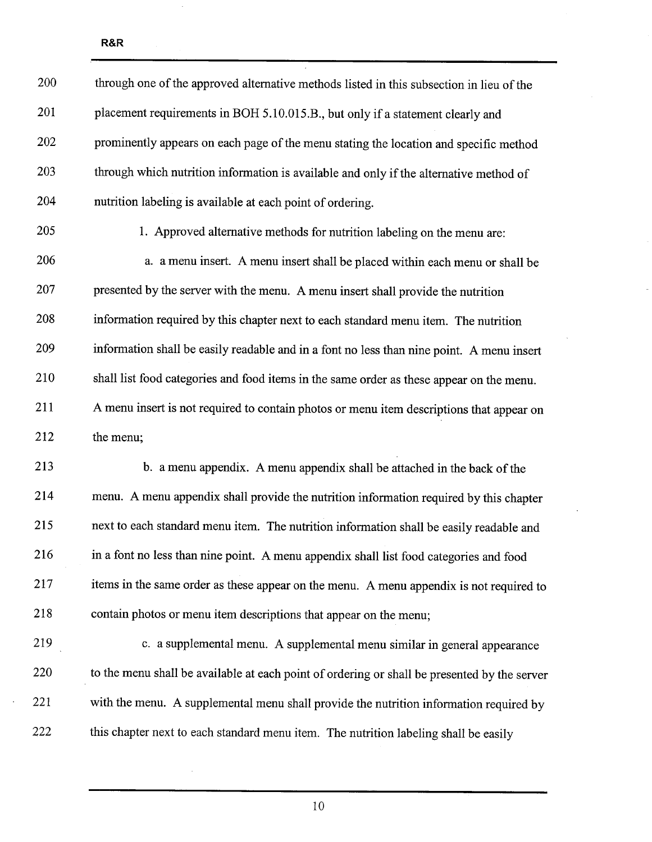| 200 | through one of the approved alternative methods listed in this subsection in lieu of the     |
|-----|----------------------------------------------------------------------------------------------|
| 201 | placement requirements in BOH 5.10.015.B., but only if a statement clearly and               |
| 202 | prominently appears on each page of the menu stating the location and specific method        |
| 203 | through which nutrition information is available and only if the alternative method of       |
| 204 | nutrition labeling is available at each point of ordering.                                   |
| 205 | 1. Approved alternative methods for nutrition labeling on the menu are:                      |
| 206 | a. a menu insert. A menu insert shall be placed within each menu or shall be                 |
| 207 | presented by the server with the menu. A menu insert shall provide the nutrition             |
| 208 | information required by this chapter next to each standard menu item. The nutrition          |
| 209 | information shall be easily readable and in a font no less than nine point. A menu insert    |
| 210 | shall list food categories and food items in the same order as these appear on the menu.     |
| 211 | A menu insert is not required to contain photos or menu item descriptions that appear on     |
| 212 | the menu;                                                                                    |
| 213 | b. a menu appendix. A menu appendix shall be attached in the back of the                     |
| 214 | menu. A menu appendix shall provide the nutrition information required by this chapter       |
| 215 | next to each standard menu item. The nutrition information shall be easily readable and      |
| 216 | in a font no less than nine point. A menu appendix shall list food categories and food       |
| 217 | items in the same order as these appear on the menu. A menu appendix is not required to      |
| 218 | contain photos or menu item descriptions that appear on the menu;                            |
| 219 | c. a supplemental menu. A supplemental menu similar in general appearance                    |
| 220 | to the menu shall be available at each point of ordering or shall be presented by the server |
| 221 | with the menu. A supplemental menu shall provide the nutrition information required by       |
| 222 | this chapter next to each standard menu item. The nutrition labeling shall be easily         |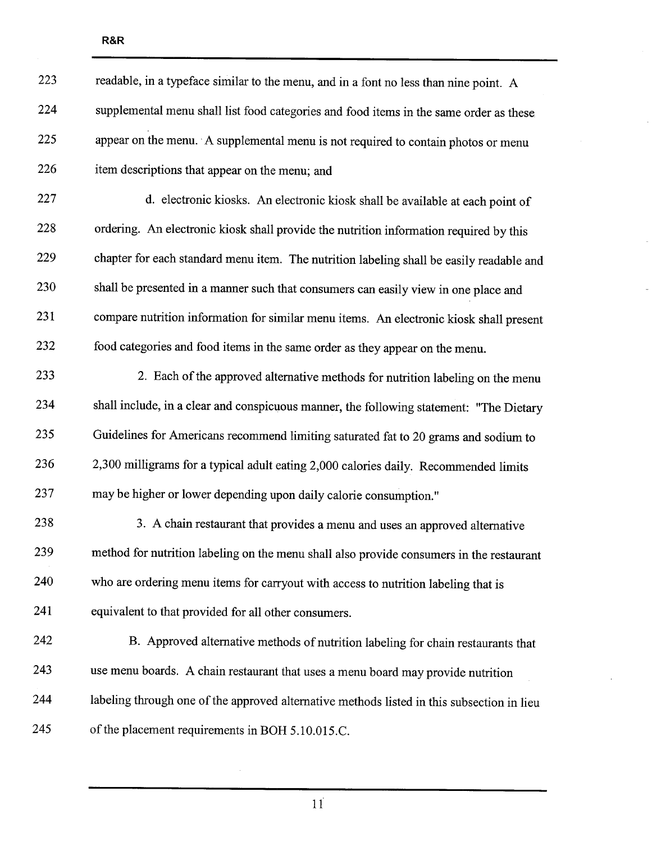| 223 | readable, in a typeface similar to the menu, and in a font no less than nine point. A      |
|-----|--------------------------------------------------------------------------------------------|
| 224 | supplemental menu shall list food categories and food items in the same order as these     |
| 225 | appear on the menu. A supplemental menu is not required to contain photos or menu          |
| 226 | item descriptions that appear on the menu; and                                             |
| 227 | d. electronic kiosks. An electronic kiosk shall be available at each point of              |
| 228 | ordering. An electronic kiosk shall provide the nutrition information required by this     |
| 229 | chapter for each standard menu item. The nutrition labeling shall be easily readable and   |
| 230 | shall be presented in a manner such that consumers can easily view in one place and        |
| 231 | compare nutrition information for similar menu items. An electronic kiosk shall present    |
| 232 | food categories and food items in the same order as they appear on the menu.               |
| 233 | 2. Each of the approved alternative methods for nutrition labeling on the menu             |
| 234 | shall include, in a clear and conspicuous manner, the following statement: "The Dietary    |
| 235 | Guidelines for Americans recommend limiting saturated fat to 20 grams and sodium to        |
| 236 | 2,300 milligrams for a typical adult eating 2,000 calories daily. Recommended limits       |
| 237 | may be higher or lower depending upon daily calorie consumption."                          |
| 238 | 3. A chain restaurant that provides a menu and uses an approved alternative                |
| 239 | method for nutrition labeling on the menu shall also provide consumers in the restaurant   |
| 240 | who are ordering menu items for carryout with access to nutrition labeling that is         |
| 241 | equivalent to that provided for all other consumers.                                       |
| 242 | B. Approved alternative methods of nutrition labeling for chain restaurants that           |
| 243 | use menu boards. A chain restaurant that uses a menu board may provide nutrition           |
| 244 | labeling through one of the approved alternative methods listed in this subsection in lieu |
| 245 | of the placement requirements in BOH 5.10.015.C.                                           |

 $11\right)$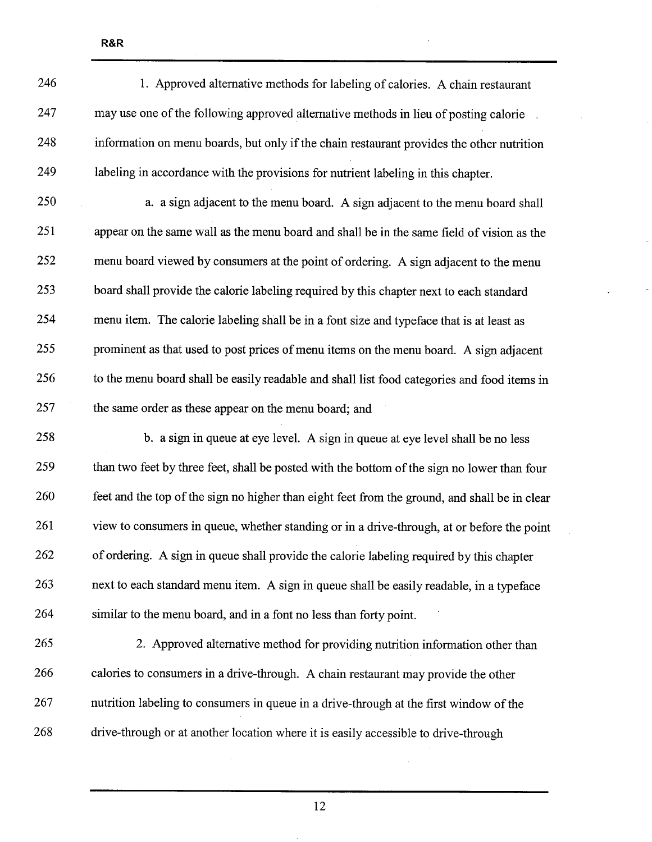| 246 | 1. Approved alternative methods for labeling of calories. A chain restaurant                  |
|-----|-----------------------------------------------------------------------------------------------|
| 247 | may use one of the following approved alternative methods in lieu of posting calorie          |
| 248 | information on menu boards, but only if the chain restaurant provides the other nutrition     |
| 249 | labeling in accordance with the provisions for nutrient labeling in this chapter.             |
| 250 | a. a sign adjacent to the menu board. A sign adjacent to the menu board shall                 |
| 251 | appear on the same wall as the menu board and shall be in the same field of vision as the     |
| 252 | menu board viewed by consumers at the point of ordering. A sign adjacent to the menu          |
| 253 | board shall provide the calorie labeling required by this chapter next to each standard       |
| 254 | menu item. The calorie labeling shall be in a font size and typeface that is at least as      |
| 255 | prominent as that used to post prices of menu items on the menu board. A sign adjacent        |
| 256 | to the menu board shall be easily readable and shall list food categories and food items in   |
| 257 | the same order as these appear on the menu board; and                                         |
| 258 | b. a sign in queue at eye level. A sign in queue at eye level shall be no less                |
| 259 | than two feet by three feet, shall be posted with the bottom of the sign no lower than four   |
| 260 | feet and the top of the sign no higher than eight feet from the ground, and shall be in clear |
| 261 | view to consumers in queue, whether standing or in a drive-through, at or before the point    |
| 262 | of ordering. A sign in queue shall provide the calorie labeling required by this chapter      |
| 263 | next to each standard menu item. A sign in queue shall be easily readable, in a typeface      |
| 264 | similar to the menu board, and in a font no less than forty point.                            |
| 265 | 2. Approved alternative method for providing nutrition information other than                 |
| 266 | calories to consumers in a drive-through. A chain restaurant may provide the other            |
| 267 | nutrition labeling to consumers in queue in a drive-through at the first window of the        |

268 drive-through or at another location where it is easily accessible to drive-through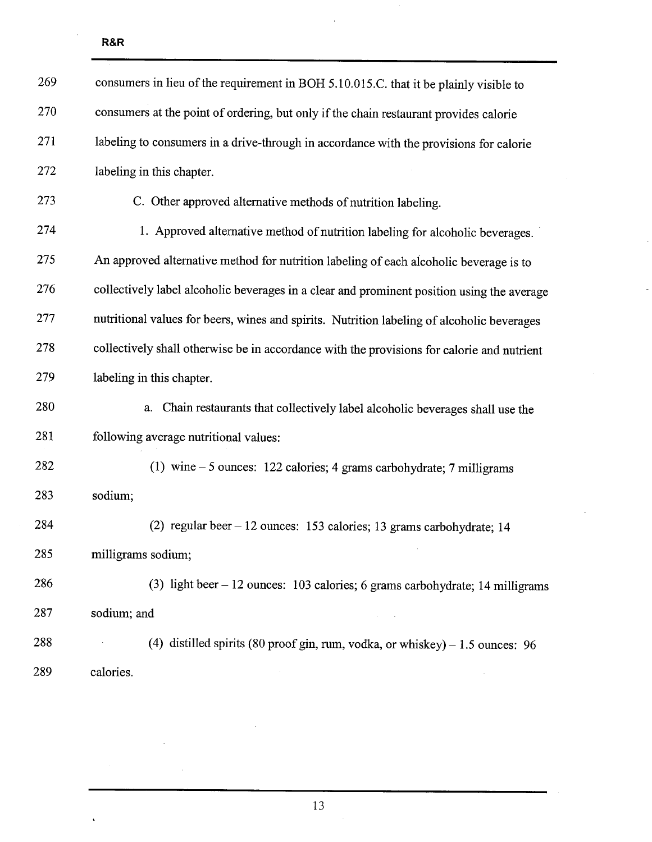$\ddot{\phantom{0}}$ 

| 269 | consumers in lieu of the requirement in BOH 5.10.015.C. that it be plainly visible to      |
|-----|--------------------------------------------------------------------------------------------|
| 270 | consumers at the point of ordering, but only if the chain restaurant provides calorie      |
| 271 | labeling to consumers in a drive-through in accordance with the provisions for calorie     |
| 272 | labeling in this chapter.                                                                  |
| 273 | C. Other approved alternative methods of nutrition labeling.                               |
| 274 | 1. Approved alternative method of nutrition labeling for alcoholic beverages.              |
| 275 | An approved alternative method for nutrition labeling of each alcoholic beverage is to     |
| 276 | collectively label alcoholic beverages in a clear and prominent position using the average |
| 277 | nutritional values for beers, wines and spirits. Nutrition labeling of alcoholic beverages |
| 278 | collectively shall otherwise be in accordance with the provisions for calorie and nutrient |
| 279 | labeling in this chapter.                                                                  |
| 280 | Chain restaurants that collectively label alcoholic beverages shall use the<br>a.          |
| 281 | following average nutritional values:                                                      |
| 282 | (1) wine $-5$ ounces: 122 calories; 4 grams carbohydrate; 7 milligrams                     |
| 283 | sodium;                                                                                    |
| 284 | (2) regular beer - 12 ounces: 153 calories; 13 grams carbohydrate; 14                      |
| 285 | milligrams sodium;                                                                         |
| 286 | (3) light beer $-12$ ounces: 103 calories; 6 grams carbohydrate; 14 milligrams             |
| 287 | sodium; and                                                                                |
| 288 | (4) distilled spirits (80 proof gin, rum, vodka, or whiskey) $-1.5$ ounces: 96             |
| 289 | calories.                                                                                  |

 $\hat{\boldsymbol{\beta}}$ 

 $\overline{a}$ 

 $\ddot{\phantom{0}}$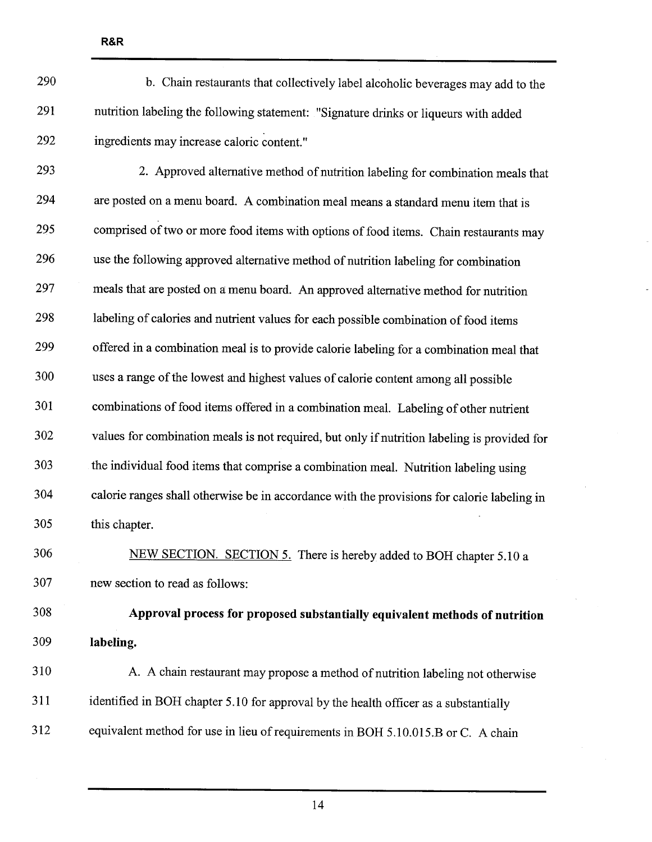| . .<br>×<br>۰.<br>٠ |
|---------------------|
|---------------------|

- 290 b. Chain restaurants that collectively label alcoholic beverages may add to the 291 nutrition labeling the following statement: "Signature drnks or liqueurs with added 292 ingredients may increase caloric content."
- 293 2. Approved alternative method of nutrition labeling for combination meals that 294 are posted on a menu board. A combination meal means a standard menu item that is 295 comprised of two or more food items with options of food items. Chain restaurants may 296 use the following approved alternative method of nutrtion labeling for combination 297 meals that are posted on â menu board. An approved alternative method for nutrition 298 labeling of calories and nutrient values for each possible combination of food items 299 offered in a combination meal is to provide calorie labeling for a combination meal that 300 uses a range of the lowest and highest values of calorie content among all possible 301 combinations of food items offered in a combination meaL. Labeling of other nutrient 302 values for combination meals is not required, but only if nutrition labeling is provided for 303 the individual food items that comprise a combination meaL. Nutrition labeling using 304 calorie ranges shall otherwise be in accordance with the provisions for calorie labeling in 305 this chapter.
- 306 NEW SECTION. SECTION 5. There is hereby added to BOH chapter 5.10 a 307 new section to read as follows:

308 Approval process for proposed substantially equivalent methods of nutrition 309 labeling.

310 A. A chain restaurant may propose a method of nutrtion labeling not otherwise 311 identified in BOH chapter 5.10 for approval by the health officer as a substantially 312 equivalent method for use in lieu of requirements in BOH 5.10.015.B or C. A chain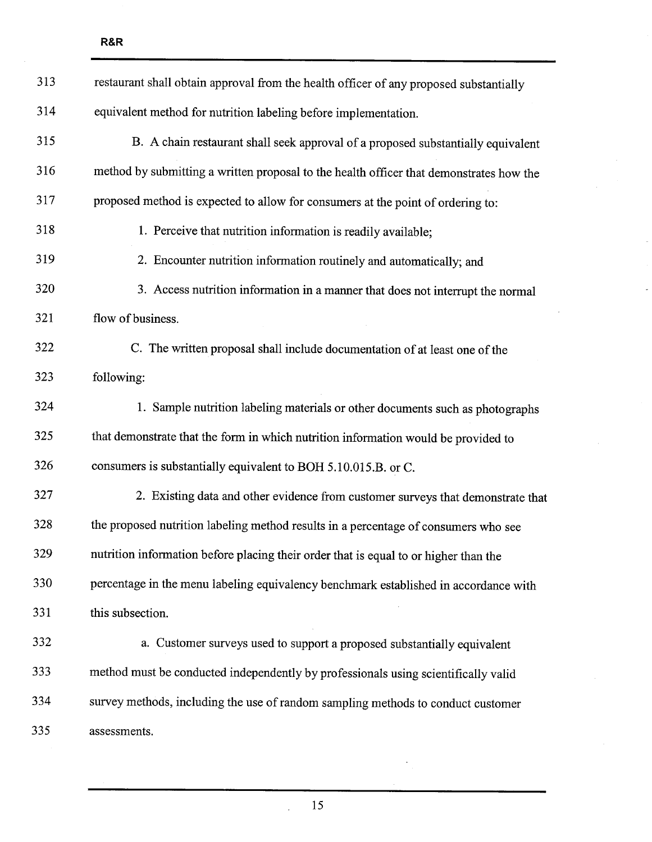| 313 | restaurant shall obtain approval from the health officer of any proposed substantially  |
|-----|-----------------------------------------------------------------------------------------|
| 314 | equivalent method for nutrition labeling before implementation.                         |
| 315 | B. A chain restaurant shall seek approval of a proposed substantially equivalent        |
| 316 | method by submitting a written proposal to the health officer that demonstrates how the |
| 317 | proposed method is expected to allow for consumers at the point of ordering to:         |
| 318 | 1. Perceive that nutrition information is readily available;                            |
| 319 | 2. Encounter nutrition information routinely and automatically; and                     |
| 320 | 3. Access nutrition information in a manner that does not interrupt the normal          |
| 321 | flow of business.                                                                       |
| 322 | C. The written proposal shall include documentation of at least one of the              |
| 323 | following:                                                                              |
| 324 | 1. Sample nutrition labeling materials or other documents such as photographs           |
| 325 | that demonstrate that the form in which nutrition information would be provided to      |
| 326 | consumers is substantially equivalent to BOH 5.10.015.B. or C.                          |
| 327 | 2. Existing data and other evidence from customer surveys that demonstrate that         |
| 328 | the proposed nutrition labeling method results in a percentage of consumers who see     |
| 329 | nutrition information before placing their order that is equal to or higher than the    |
| 330 | percentage in the menu labeling equivalency benchmark established in accordance with    |
| 331 | this subsection.                                                                        |
| 332 | a. Customer surveys used to support a proposed substantially equivalent                 |
| 333 | method must be conducted independently by professionals using scientifically valid      |
| 334 | survey methods, including the use of random sampling methods to conduct customer        |
| 335 | assessments.                                                                            |

 $\overline{a}$ 

R&R

15

 $\ddot{\cdot}$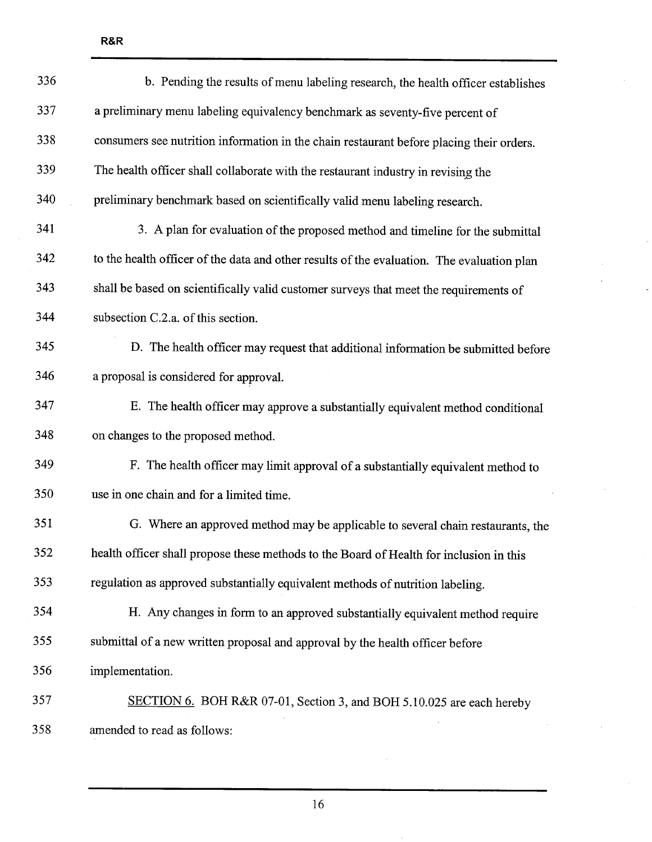| 336 | b. Pending the results of menu labeling research, the health officer establishes           |
|-----|--------------------------------------------------------------------------------------------|
| 337 | a preliminary menu labeling equivalency benchmark as seventy-five percent of               |
| 338 | consumers see nutrition information in the chain restaurant before placing their orders.   |
| 339 | The health officer shall collaborate with the restaurant industry in revising the          |
| 340 | preliminary benchmark based on scientifically valid menu labeling research.                |
| 341 | 3. A plan for evaluation of the proposed method and timeline for the submittal             |
| 342 | to the health officer of the data and other results of the evaluation. The evaluation plan |
| 343 | shall be based on scientifically valid customer surveys that meet the requirements of      |
| 344 | subsection C.2.a. of this section.                                                         |
| 345 | D. The health officer may request that additional information be submitted before          |
| 346 | a proposal is considered for approval.                                                     |
| 347 | E. The health officer may approve a substantially equivalent method conditional            |
| 348 | on changes to the proposed method.                                                         |
| 349 | F. The health officer may limit approval of a substantially equivalent method to           |
| 350 | use in one chain and for a limited time.                                                   |
| 351 | G. Where an approved method may be applicable to several chain restaurants, the            |
| 352 | health officer shall propose these methods to the Board of Health for inclusion in this    |
| 353 | regulation as approved substantially equivalent methods of nutrition labeling.             |
| 354 | H. Any changes in form to an approved substantially equivalent method require              |
| 355 | submittal of a new written proposal and approval by the health officer before              |
| 356 | implementation.                                                                            |
| 357 | SECTION 6. BOH R&R 07-01, Section 3, and BOH 5.10.025 are each hereby                      |
| 358 | amended to read as follows:                                                                |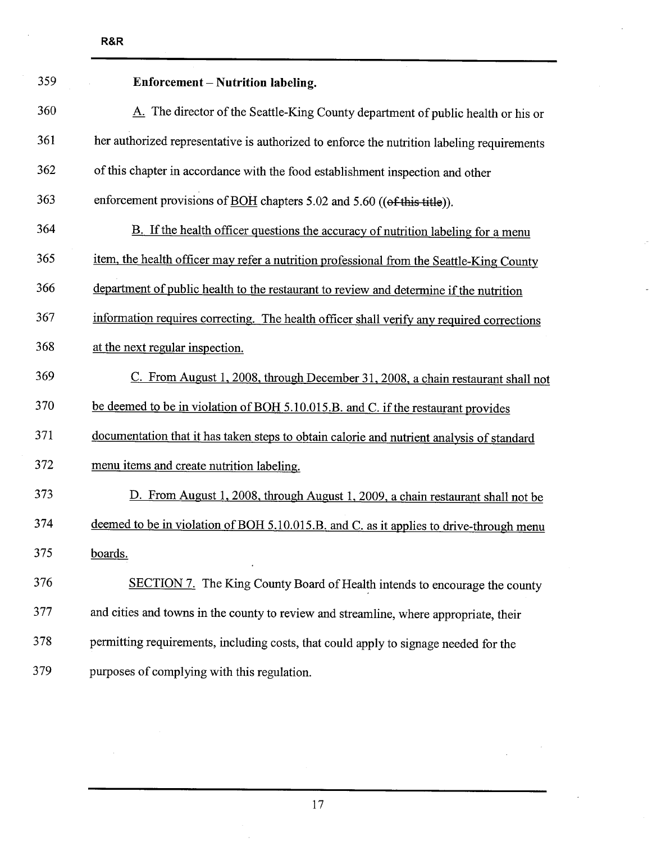| 359 | Enforcement - Nutrition labeling.                                                          |
|-----|--------------------------------------------------------------------------------------------|
| 360 | A. The director of the Seattle-King County department of public health or his or           |
| 361 | her authorized representative is authorized to enforce the nutrition labeling requirements |
| 362 | of this chapter in accordance with the food establishment inspection and other             |
| 363 | enforcement provisions of BOH chapters 5.02 and 5.60 ((of this title)).                    |
| 364 | B. If the health officer questions the accuracy of nutrition labeling for a menu           |
| 365 | item, the health officer may refer a nutrition professional from the Seattle-King County   |
| 366 | department of public health to the restaurant to review and determine if the nutrition     |
| 367 | information requires correcting. The health officer shall verify any required corrections  |
| 368 | at the next regular inspection.                                                            |
| 369 | C. From August 1, 2008, through December 31, 2008, a chain restaurant shall not            |
| 370 | be deemed to be in violation of BOH 5.10.015.B. and C. if the restaurant provides          |
| 371 | documentation that it has taken steps to obtain calorie and nutrient analysis of standard  |
| 372 | menu items and create nutrition labeling.                                                  |
| 373 | D. From August 1, 2008, through August 1, 2009, a chain restaurant shall not be            |
| 374 | deemed to be in violation of BOH 5.10.015.B. and C. as it applies to drive-through menu    |
| 375 | boards.                                                                                    |
| 376 | SECTION 7. The King County Board of Health intends to encourage the county                 |
| 377 | and cities and towns in the county to review and streamline, where appropriate, their      |
| 378 | permitting requirements, including costs, that could apply to signage needed for the       |
| 379 | purposes of complying with this regulation.                                                |